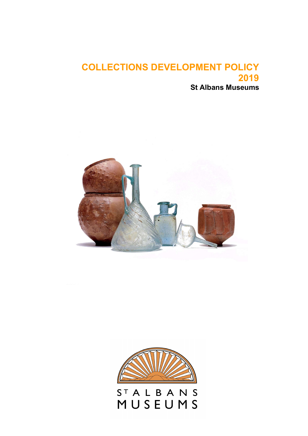# COLLECTIONS DEVELOPMENT POLICY 2019 St Albans Museums





STALBANS<br>MUSEUMS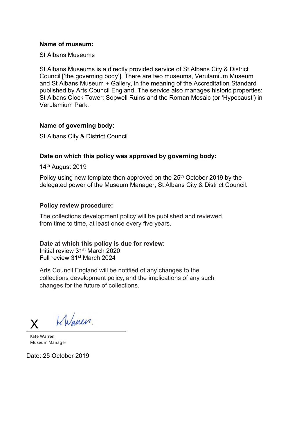#### Name of museum:

St Albans Museums

St Albans Museums is a directly provided service of St Albans City & District Council ['the governing body']. There are two museums, Verulamium Museum and St Albans Museum + Gallery, in the meaning of the Accreditation Standard published by Arts Council England. The service also manages historic properties: St Albans Clock Tower; Sopwell Ruins and the Roman Mosaic (or 'Hypocaust') in Verulamium Park.

#### Name of governing body:

St Albans City & District Council

#### Date on which this policy was approved by governing body:

14<sup>th</sup> August 2019

Policy using new template then approved on the 25<sup>th</sup> October 2019 by the delegated power of the Museum Manager, St Albans City & District Council.

#### Policy review procedure:

The collections development policy will be published and reviewed from time to time, at least once every five years.

#### Date at which this policy is due for review:

Initial review 31st March 2020 Full review 31st March 2024

Arts Council England will be notified of any changes to the collections development policy, and the implications of any such changes for the future of collections.

 $x$  Khlanen

Kate Warren Museum Manager

Date: 25 October 2019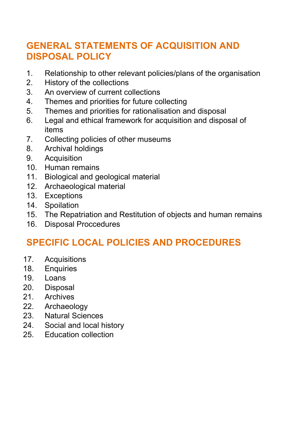# GENERAL STATEMENTS OF ACQUISITION AND DISPOSAL POLICY

- 1. Relationship to other relevant policies/plans of the organisation
- 2. History of the collections
- 3. An overview of current collections
- 4. Themes and priorities for future collecting
- 5. Themes and priorities for rationalisation and disposal
- 6. Legal and ethical framework for acquisition and disposal of items
- 7. Collecting policies of other museums
- 8. Archival holdings
- 9. Acquisition
- 10. Human remains
- 11. Biological and geological material
- 12. Archaeological material
- 13. Exceptions
- 14. Spoilation
- 15. The Repatriation and Restitution of objects and human remains
- 16. Disposal Proccedures

# SPECIFIC LOCAL POLICIES AND PROCEDURES

- 17. Acquisitions
- 18. Enquiries
- 19. Loans
- 20. Disposal
- 21. Archives
- 22. Archaeology
- 23. Natural Sciences
- 24. Social and local history
- 25. Education collection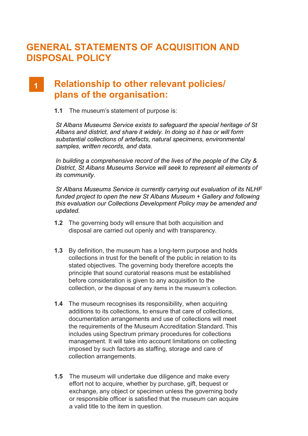# GENERAL STATEMENTS OF ACQUISITION AND DISPOSAL POLICY

#### Relationship to other relevant policies/  $\overline{1}$ plans of the organisation:

1.1 The museum's statement of purpose is:

St Albans Museums Service exists to safeguard the special heritage of St Albans and district, and share it widely. In doing so it has or will form substantial collections of artefacts, natural specimens, environmental samples, written records, and data.

In building a comprehensive record of the lives of the people of the City & District, St Albans Museums Service will seek to represent all elements of its community.

St Albans Museums Service is currently carrying out evaluation of its NLHF funded project to open the new St Albans Museum + Gallery and following this evaluation our Collections Development Policy may be amended and updated.

- 1.2 The governing body will ensure that both acquisition and disposal are carried out openly and with transparency.
- 1.3 By definition, the museum has a long-term purpose and holds collections in trust for the benefit of the public in relation to its stated objectives. The governing body therefore accepts the principle that sound curatorial reasons must be established before consideration is given to any acquisition to the collection, or the disposal of any items in the museum's collection.
- 1.4 The museum recognises its responsibility, when acquiring additions to its collections, to ensure that care of collections, documentation arrangements and use of collections will meet the requirements of the Museum Accreditation Standard. This includes using Spectrum primary procedures for collections management. It will take into account limitations on collecting imposed by such factors as staffing, storage and care of collection arrangements.
- **1.5** The museum will undertake due diligence and make every effort not to acquire, whether by purchase, gift, bequest or exchange, any object or specimen unless the governing body or responsible officer is satisfied that the museum can acquire a valid title to the item in question.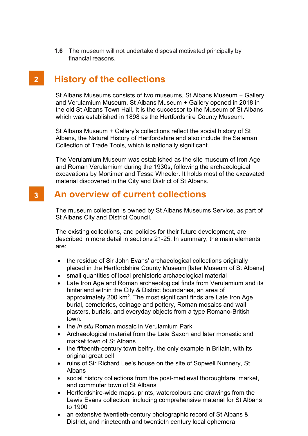**1.6** The museum will not undertake disposal motivated principally by financial reasons.

#### $2<sup>7</sup>$ History of the collections

St Albans Museums consists of two museums, St Albans Museum + Gallery and Verulamium Museum. St Albans Museum + Gallery opened in 2018 in the old St Albans Town Hall. It is the successor to the Museum of St Albans which was established in 1898 as the Hertfordshire County Museum.

St Albans Museum + Gallery's collections reflect the social history of St Albans, the Natural History of Hertfordshire and also include the Salaman Collection of Trade Tools, which is nationally significant.

The Verulamium Museum was established as the site museum of Iron Age and Roman Verulamium during the 1930s, following the archaeological excavations by Mortimer and Tessa Wheeler. It holds most of the excavated material discovered in the City and District of St Albans.

#### An overview of current collections  $3<sup>7</sup>$

The museum collection is owned by St Albans Museums Service, as part of St Albans City and District Council.

The existing collections, and policies for their future development, are described in more detail in sections 21-25. In summary, the main elements are:

- the residue of Sir John Evans' archaeological collections originally placed in the Hertfordshire County Museum [later Museum of St Albans]
- small quantities of local prehistoric archaeological material
- Late Iron Age and Roman archaeological finds from Verulamium and its hinterland within the City & District boundaries, an area of approximately 200  $km^2$ . The most significant finds are Late Iron Age burial, cemeteries, coinage and pottery, Roman mosaics and wall plasters, burials, and everyday objects from a type Romano-British town.
- the *in situ* Roman mosaic in Verulamium Park
- Archaeological material from the Late Saxon and later monastic and market town of St Albans
- the fifteenth-century town belfry, the only example in Britain, with its original great bell
- ruins of Sir Richard Lee's house on the site of Sopwell Nunnery, St Albans
- social history collections from the post-medieval thoroughfare, market, and commuter town of St Albans
- Hertfordshire-wide maps, prints, watercolours and drawings from the Lewis Evans collection, including comprehensive material for St Albans to 1900
- an extensive twentieth-century photographic record of St Albans & District, and nineteenth and twentieth century local ephemera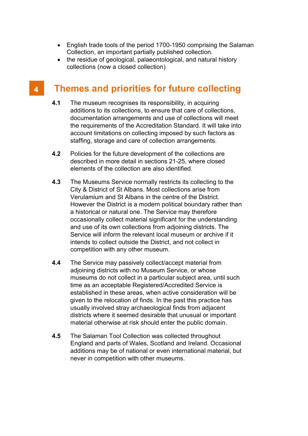- English trade tools of the period 1700-1950 comprising the Salaman Collection, an important partially published collection.
- the residue of geological, palaeontological, and natural history collections (now a closed collection)

#### Themes and priorities for future collecting  $\blacktriangle$

- 4.1 The museum recognises its responsibility, in acquiring additions to its collections, to ensure that care of collections, documentation arrangements and use of collections will meet the requirements of the Accreditation Standard. It will take into account limitations on collecting imposed by such factors as staffing, storage and care of collection arrangements.
- 4.2 Policies for the future development of the collections are described in more detail in sections 21-25, where closed elements of the collection are also identified.
- 4.3 The Museums Service normally restricts its collecting to the City & District of St Albans. Most collections arise from Verulamium and St Albans in the centre of the District. However the District is a modern political boundary rather than a historical or natural one. The Service may therefore occasionally collect material significant for the understanding and use of its own collections from adjoining districts. The Service will inform the relevant local museum or archive if it intends to collect outside the District, and not collect in competition with any other museum.
- 4.4 The Service may passively collect/accept material from adjoining districts with no Museum Service, or whose museums do not collect in a particular subject area, until such time as an acceptable Registered/Accredited Service is established in these areas, when active consideration will be given to the relocation of finds. In the past this practice has usually involved stray archaeological finds from adjacent districts where it seemed desirable that unusual or important material otherwise at risk should enter the public domain.
- 4.5 The Salaman Tool Collection was collected throughout England and parts of Wales, Scotland and Ireland. Occasional additions may be of national or even international material, but never in competition with other museums.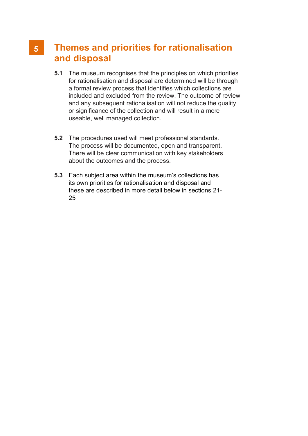# Themes and priorities for rationalisation and disposal

- 5.1 The museum recognises that the principles on which priorities for rationalisation and disposal are determined will be through a formal review process that identifies which collections are included and excluded from the review. The outcome of review and any subsequent rationalisation will not reduce the quality or significance of the collection and will result in a more useable, well managed collection.
- 5.2 The procedures used will meet professional standards. The process will be documented, open and transparent. There will be clear communication with key stakeholders about the outcomes and the process.
- 5.3 Each subject area within the museum's collections has its own priorities for rationalisation and disposal and these are described in more detail below in sections 21- 25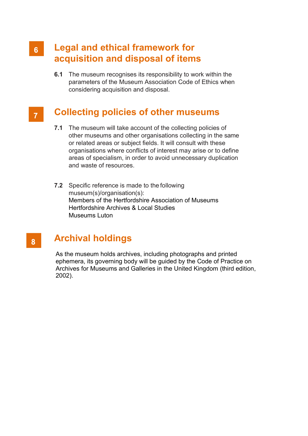## Legal and ethical framework for acquisition and disposal of items

**6.1** The museum recognises its responsibility to work within the parameters of the Museum Association Code of Ethics when considering acquisition and disposal.

# $\overline{7}$

# Collecting policies of other museums

- 7.1 The museum will take account of the collecting policies of other museums and other organisations collecting in the same or related areas or subject fields. It will consult with these organisations where conflicts of interest may arise or to define areas of specialism, in order to avoid unnecessary duplication and waste of resources.
- 7.2 Specific reference is made to the following museum(s)/organisation(s): Members of the Hertfordshire Association of Museums Hertfordshire Archives & Local Studies Museums Luton

#### Archival holdings  $8<sup>1</sup>$

As the museum holds archives, including photographs and printed ephemera, its governing body will be guided by the Code of Practice on Archives for Museums and Galleries in the United Kingdom (third edition, 2002).

### $6<sup>1</sup>$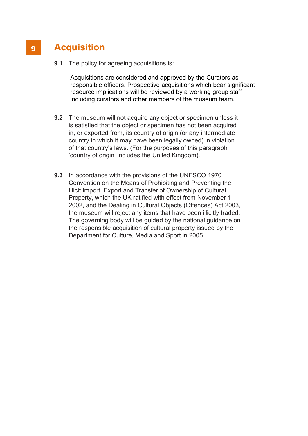# **Acquisition**

**9.1** The policy for agreeing acquisitions is:

Acquisitions are considered and approved by the Curators as responsible officers. Prospective acquisitions which bear significant resource implications will be reviewed by a working group staff including curators and other members of the museum team.

- 9.2 The museum will not acquire any object or specimen unless it is satisfied that the object or specimen has not been acquired in, or exported from, its country of origin (or any intermediate country in which it may have been legally owned) in violation of that country's laws. (For the purposes of this paragraph 'country of origin' includes the United Kingdom).
- 9.3 In accordance with the provisions of the UNESCO 1970 Convention on the Means of Prohibiting and Preventing the Illicit Import, Export and Transfer of Ownership of Cultural Property, which the UK ratified with effect from November 1 2002, and the Dealing in Cultural Objects (Offences) Act 2003, the museum will reject any items that have been illicitly traded. The governing body will be guided by the national guidance on the responsible acquisition of cultural property issued by the Department for Culture, Media and Sport in 2005.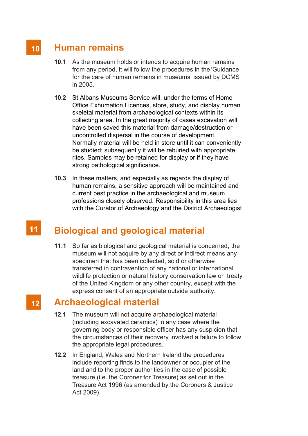# Human remains

 $10$ 

- 10.1 As the museum holds or intends to acquire human remains from any period, it will follow the procedures in the 'Guidance for the care of human remains in museums' issued by DCMS in 2005.
- 10.2 St Albans Museums Service will, under the terms of Home Office Exhumation Licences, store, study, and display human skeletal material from archaeological contexts within its collecting area. In the great majority of cases excavation will have been saved this material from damage/destruction or uncontrolled dispersal in the course of development. Normally material will be held in store until it can conveniently be studied; subsequently it will be reburied with appropriate rites. Samples may be retained for display or if they have strong pathological significance.
- 10.3 In these matters, and especially as regards the display of human remains, a sensitive approach will be maintained and current best practice in the archaeological and museum professions closely observed. Responsibility in this area lies with the Curator of Archaeology and the District Archaeologist

#### $11$ Biological and geological material

11.1 So far as biological and geological material is concerned, the museum will not acquire by any direct or indirect means any specimen that has been collected, sold or otherwise transferred in contravention of any national or international wildlife protection or natural history conservation law or treaty of the United Kingdom or any other country, except with the express consent of an appropriate outside authority.

# Archaeological material

- 12.1 The museum will not acquire archaeological material (including excavated ceramics) in any case where the governing body or responsible officer has any suspicion that the circumstances of their recovery involved a failure to follow the appropriate legal procedures.
- 12.2 In England, Wales and Northern Ireland the procedures include reporting finds to the landowner or occupier of the land and to the proper authorities in the case of possible treasure (i.e. the Coroner for Treasure) as set out in the Treasure Act 1996 (as amended by the Coroners & Justice Act 2009).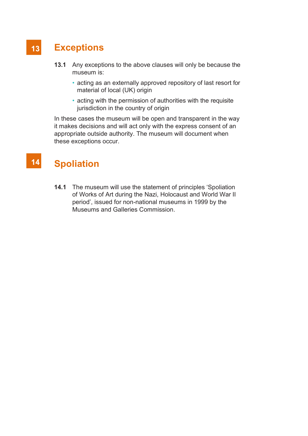#### $13$ **Exceptions**

- 13.1 Any exceptions to the above clauses will only be because the museum is:
	- acting as an externally approved repository of last resort for material of local (UK) origin
	- acting with the permission of authorities with the requisite jurisdiction in the country of origin

In these cases the museum will be open and transparent in the way it makes decisions and will act only with the express consent of an appropriate outside authority. The museum will document when these exceptions occur.

#### $14$ **Spoliation**

14.1 The museum will use the statement of principles 'Spoliation of Works of Art during the Nazi, Holocaust and World War II period', issued for non-national museums in 1999 by the Museums and Galleries Commission.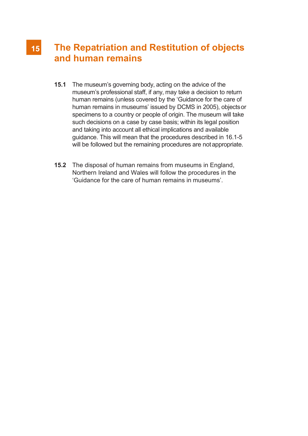# The Repatriation and Restitution of objects and human remains

- 15.1 The museum's governing body, acting on the advice of the museum's professional staff, if any, may take a decision to return human remains (unless covered by the 'Guidance for the care of human remains in museums' issued by DCMS in 2005), objects or specimens to a country or people of origin. The museum will take such decisions on a case by case basis; within its legal position and taking into account all ethical implications and available guidance. This will mean that the procedures described in 16.1-5 will be followed but the remaining procedures are not appropriate.
- 15.2 The disposal of human remains from museums in England, Northern Ireland and Wales will follow the procedures in the 'Guidance for the care of human remains in museums'.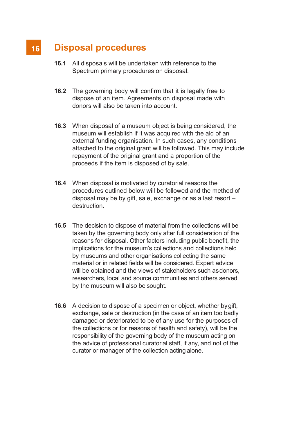#### $16$ Disposal procedures

- 16.1 All disposals will be undertaken with reference to the Spectrum primary procedures on disposal.
- 16.2 The governing body will confirm that it is legally free to dispose of an item. Agreements on disposal made with donors will also be taken into account.
- 16.3 When disposal of a museum object is being considered, the museum will establish if it was acquired with the aid of an external funding organisation. In such cases, any conditions attached to the original grant will be followed. This may include repayment of the original grant and a proportion of the proceeds if the item is disposed of by sale.
- 16.4 When disposal is motivated by curatorial reasons the procedures outlined below will be followed and the method of disposal may be by gift, sale, exchange or as a last resort – destruction.
- 16.5 The decision to dispose of material from the collections will be taken by the governing body only after full consideration of the reasons for disposal. Other factors including public benefit, the implications for the museum's collections and collections held by museums and other organisations collecting the same material or in related fields will be considered. Expert advice will be obtained and the views of stakeholders such as donors. researchers, local and source communities and others served by the museum will also be sought.
- 16.6 A decision to dispose of a specimen or object, whether by gift, exchange, sale or destruction (in the case of an item too badly damaged or deteriorated to be of any use for the purposes of the collections or for reasons of health and safety), will be the responsibility of the governing body of the museum acting on the advice of professional curatorial staff, if any, and not of the curator or manager of the collection acting alone.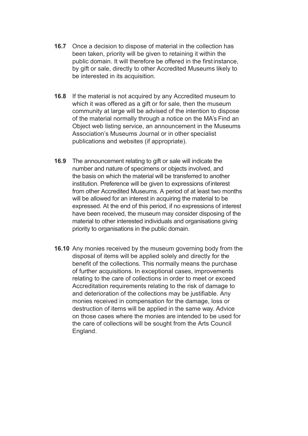- 16.7 Once a decision to dispose of material in the collection has been taken, priority will be given to retaining it within the public domain. It will therefore be offered in the first instance, by gift or sale, directly to other Accredited Museums likely to be interested in its acquisition.
- 16.8 If the material is not acquired by any Accredited museum to which it was offered as a gift or for sale, then the museum community at large will be advised of the intention to dispose of the material normally through a notice on the MA's Find an Object web listing service, an announcement in the Museums Association's Museums Journal or in other specialist publications and websites (if appropriate).
- 16.9 The announcement relating to gift or sale will indicate the number and nature of specimens or objects involved, and the basis on which the material will be transferred to another institution. Preference will be given to expressions of interest from other Accredited Museums. A period of at least two months will be allowed for an interest in acquiring the material to be expressed. At the end of this period, if no expressions of interest have been received, the museum may consider disposing of the material to other interested individuals and organisations giving priority to organisations in the public domain.
- 16.10 Any monies received by the museum governing body from the disposal of items will be applied solely and directly for the benefit of the collections. This normally means the purchase of further acquisitions. In exceptional cases, improvements relating to the care of collections in order to meet or exceed Accreditation requirements relating to the risk of damage to and deterioration of the collections may be justifiable. Any monies received in compensation for the damage, loss or destruction of items will be applied in the same way. Advice on those cases where the monies are intended to be used for the care of collections will be sought from the Arts Council England.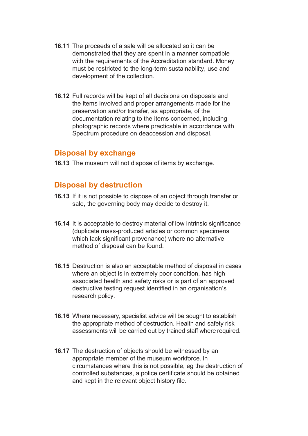- 16.11 The proceeds of a sale will be allocated so it can be demonstrated that they are spent in a manner compatible with the requirements of the Accreditation standard. Money must be restricted to the long-term sustainability, use and development of the collection.
- 16.12 Full records will be kept of all decisions on disposals and the items involved and proper arrangements made for the preservation and/or transfer, as appropriate, of the documentation relating to the items concerned, including photographic records where practicable in accordance with Spectrum procedure on deaccession and disposal.

### Disposal by exchange

16.13 The museum will not dispose of items by exchange.

### Disposal by destruction

- 16.13 If it is not possible to dispose of an object through transfer or sale, the governing body may decide to destroy it.
- 16.14 It is acceptable to destroy material of low intrinsic significance (duplicate mass-produced articles or common specimens which lack significant provenance) where no alternative method of disposal can be found.
- 16.15 Destruction is also an acceptable method of disposal in cases where an object is in extremely poor condition, has high associated health and safety risks or is part of an approved destructive testing request identified in an organisation's research policy.
- 16.16 Where necessary, specialist advice will be sought to establish the appropriate method of destruction. Health and safety risk assessments will be carried out by trained staff where required.
- 16.17 The destruction of objects should be witnessed by an appropriate member of the museum workforce. In circumstances where this is not possible, eg the destruction of controlled substances, a police certificate should be obtained and kept in the relevant object history file.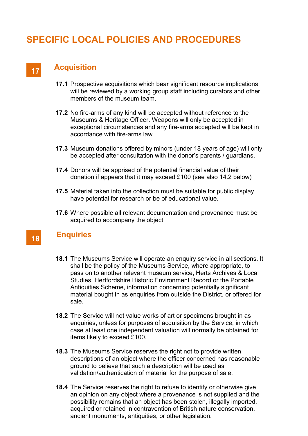# SPECIFIC LOCAL POLICIES AND PROCEDURES

# Acquisition 17

- 17.1 Prospective acquisitions which bear significant resource implications will be reviewed by a working group staff including curators and other members of the museum team.
- 17.2 No fire-arms of any kind will be accepted without reference to the Museums & Heritage Officer. Weapons will only be accepted in exceptional circumstances and any fire-arms accepted will be kept in accordance with fire-arms law
- 17.3 Museum donations offered by minors (under 18 years of age) will only be accepted after consultation with the donor's parents / guardians.
- 17.4 Donors will be apprised of the potential financial value of their donation if appears that it may exceed £100 (see also 14.2 below)
- 17.5 Material taken into the collection must be suitable for public display, have potential for research or be of educational value.
- 17.6 Where possible all relevant documentation and provenance must be acquired to accompany the object

### **Enquiries**

- 18.1 The Museums Service will operate an enquiry service in all sections. It shall be the policy of the Museums Service, where appropriate, to pass on to another relevant museum service, Herts Archives & Local Studies, Hertfordshire Historic Environment Record or the Portable Antiquities Scheme, information concerning potentially significant material bought in as enquiries from outside the District, or offered for sale.
- 18.2 The Service will not value works of art or specimens brought in as enquiries, unless for purposes of acquisition by the Service, in which case at least one independent valuation will normally be obtained for items likely to exceed £100.
- 18.3 The Museums Service reserves the right not to provide written descriptions of an object where the officer concerned has reasonable ground to believe that such a description will be used as validation/authentication of material for the purpose of sale.
- 18.4 The Service reserves the right to refuse to identify or otherwise give an opinion on any object where a provenance is not supplied and the possibility remains that an object has been stolen, illegally imported, acquired or retained in contravention of British nature conservation, ancient monuments, antiquities, or other legislation.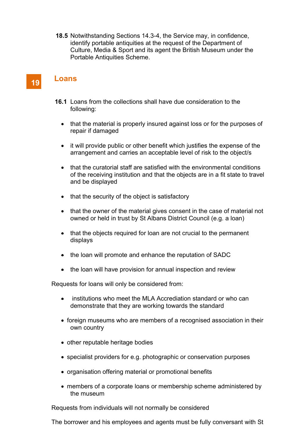18.5 Notwithstanding Sections 14.3-4, the Service may, in confidence, identify portable antiquities at the request of the Department of Culture, Media & Sport and its agent the British Museum under the Portable Antiquities Scheme.

## Loans

19

- 16.1 Loans from the collections shall have due consideration to the following:
	- that the material is properly insured against loss or for the purposes of repair if damaged
	- it will provide public or other benefit which justifies the expense of the arrangement and carries an acceptable level of risk to the object/s
	- that the curatorial staff are satisfied with the environmental conditions of the receiving institution and that the objects are in a fit state to travel and be displayed
	- that the security of the object is satisfactory
	- that the owner of the material gives consent in the case of material not owned or held in trust by St Albans District Council (e.g. a loan)
	- $\bullet$  that the objects required for loan are not crucial to the permanent displays
	- the loan will promote and enhance the reputation of SADC
	- $\bullet$  the loan will have provision for annual inspection and review

Requests for loans will only be considered from:

- institutions who meet the MLA Accrediation standard or who can demonstrate that they are working towards the standard
- foreign museums who are members of a recognised association in their own country
- other reputable heritage bodies
- specialist providers for e.g. photographic or conservation purposes
- organisation offering material or promotional benefits
- members of a corporate loans or membership scheme administered by the museum

Requests from individuals will not normally be considered

The borrower and his employees and agents must be fully conversant with St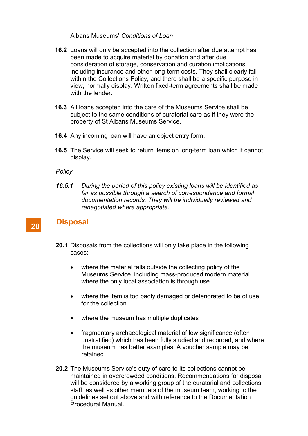Albans Museums' Conditions of Loan

- 16.2 Loans will only be accepted into the collection after due attempt has been made to acquire material by donation and after due consideration of storage, conservation and curation implications, including insurance and other long-term costs. They shall clearly fall within the Collections Policy, and there shall be a specific purpose in view, normally display. Written fixed-term agreements shall be made with the lender.
- 16.3 All loans accepted into the care of the Museums Service shall be subject to the same conditions of curatorial care as if they were the property of St Albans Museums Service.
- 16.4 Any incoming loan will have an object entry form.
- 16.5 The Service will seek to return items on long-term loan which it cannot display.

**Policy** 

16.5.1 During the period of this policy existing loans will be identified as far as possible through a search of correspondence and formal documentation records. They will be individually reviewed and renegotiated where appropriate.

### **Disposal**

- 20.1 Disposals from the collections will only take place in the following cases:
	- where the material falls outside the collecting policy of the Museums Service, including mass-produced modern material where the only local association is through use
	- where the item is too badly damaged or deteriorated to be of use for the collection
	- where the museum has multiple duplicates
	- fragmentary archaeological material of low significance (often unstratified) which has been fully studied and recorded, and where the museum has better examples. A voucher sample may be retained
- 20.2 The Museums Service's duty of care to its collections cannot be maintained in overcrowded conditions. Recommendations for disposal will be considered by a working group of the curatorial and collections staff, as well as other members of the museum team, working to the guidelines set out above and with reference to the Documentation Procedural Manual.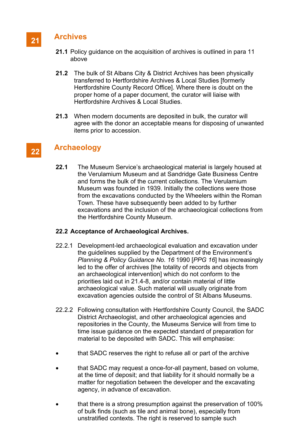## **Archives**

- 21.1 Policy guidance on the acquisition of archives is outlined in para 11 above
- 21.2 The bulk of St Albans City & District Archives has been physically transferred to Hertfordshire Archives & Local Studies [formerly Hertfordshire County Record Office]. Where there is doubt on the proper home of a paper document, the curator will liaise with Hertfordshire Archives & Local Studies.
- 21.3 When modern documents are deposited in bulk, the curator will agree with the donor an acceptable means for disposing of unwanted items prior to accession.

## Archaeology

22.1 The Museum Service's archaeological material is largely housed at the Verulamium Museum and at Sandridge Gate Business Centre and forms the bulk of the current collections. The Verulamium Museum was founded in 1939. Initially the collections were those from the excavations conducted by the Wheelers within the Roman Town. These have subsequently been added to by further excavations and the inclusion of the archaeological collections from the Hertfordshire County Museum.

#### 22.2 Acceptance of Archaeological Archives.

- 22.2.1 Development-led archaeological evaluation and excavation under the guidelines supplied by the Department of the Environment's Planning & Policy Guidance No. 16 1990 [PPG 16] has increasingly led to the offer of archives [the totality of records and objects from an archaeological intervention] which do not conform to the priorities laid out in 21.4-8, and/or contain material of little archaeological value. Such material will usually originate from excavation agencies outside the control of St Albans Museums.
- 22.2.2 Following consultation with Hertfordshire County Council, the SADC District Archaeologist, and other archaeological agencies and repositories in the County, the Museums Service will from time to time issue guidance on the expected standard of preparation for material to be deposited with SADC. This will emphasise:
- that SADC reserves the right to refuse all or part of the archive
- that SADC may request a once-for-all payment, based on volume, at the time of deposit; and that liability for it should normally be a matter for negotiation between the developer and the excavating agency, in advance of excavation.
- that there is a strong presumption against the preservation of 100% of bulk finds (such as tile and animal bone), especially from unstratified contexts. The right is reserved to sample such

## 21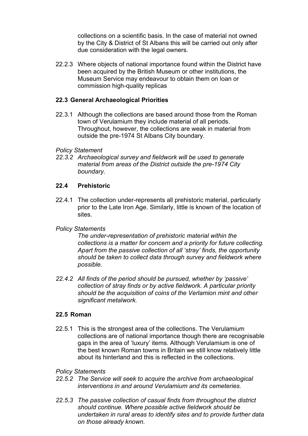collections on a scientific basis. In the case of material not owned by the City & District of St Albans this will be carried out only after due consideration with the legal owners.

22.2.3 Where objects of national importance found within the District have been acquired by the British Museum or other institutions, the Museum Service may endeavour to obtain them on loan or commission high-quality replicas

### 22.3 General Archaeological Priorities

22.3.1 Although the collections are based around those from the Roman town of Verulamium they include material of all periods. Throughout, however, the collections are weak in material from outside the pre-1974 St Albans City boundary.

### Policy Statement

22.3.2 Archaeological survey and fieldwork will be used to generate material from areas of the District outside the pre-1974 City boundary.

### 22.4 Prehistoric

22.4.1 The collection under-represents all prehistoric material, particularly prior to the Late Iron Age. Similarly, little is known of the location of sites.

### Policy Statements

The under-representation of prehistoric material within the collections is a matter for concern and a priority for future collecting. Apart from the passive collection of all 'stray' finds, the opportunity should be taken to collect data through survey and fieldwork where possible.

22.4.2 All finds of the period should be pursued, whether by 'passive' collection of stray finds or by active fieldwork. A particular priority should be the acquisition of coins of the Verlamion mint and other significant metalwork.

### 22.5 Roman

22.5.1 This is the strongest area of the collections. The Verulamium collections are of national importance though there are recognisable gaps in the area of 'luxury' items. Although Verulamium is one of the best known Roman towns in Britain we still know relatively little about its hinterland and this is reflected in the collections.

### Policy Statements

- 22.5.2 The Service will seek to acquire the archive from archaeological interventions in and around Verulamium and its cemeteries.
- 22.5.3 The passive collection of casual finds from throughout the district should continue. Where possible active fieldwork should be undertaken in rural areas to identify sites and to provide further data on those already known.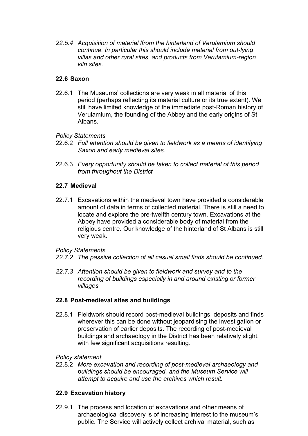22.5.4 Acquisition of material lfrom the hinterland of Verulamium should continue. In particular this should include material from out-lying villas and other rural sites, and products from Verulamium-region kiln sites.

#### 22.6 Saxon

22.6.1 The Museums' collections are very weak in all material of this period (perhaps reflecting its material culture or its true extent). We still have limited knowledge of the immediate post-Roman history of Verulamium, the founding of the Abbey and the early origins of St Albans.

#### Policy Statements

- 22.6.2 Full attention should be given to fieldwork as a means of identifying Saxon and early medieval sites.
- 22.6.3 Every opportunity should be taken to collect material of this period from throughout the District

#### 22.7 Medieval

22.7.1 Excavations within the medieval town have provided a considerable amount of data in terms of collected material. There is still a need to locate and explore the pre-twelfth century town. Excavations at the Abbey have provided a considerable body of material from the religious centre. Our knowledge of the hinterland of St Albans is still very weak.

#### Policy Statements

- 22.7.2 The passive collection of all casual small finds should be continued.
- 22.7.3 Attention should be given to fieldwork and survey and to the recording of buildings especially in and around existing or former villages

#### 22.8 Post-medieval sites and buildings

22.8.1 Fieldwork should record post-medieval buildings, deposits and finds wherever this can be done without jeopardising the investigation or preservation of earlier deposits. The recording of post-medieval buildings and archaeology in the District has been relatively slight, with few significant acquisitions resulting.

#### Policy statement

22.8.2 More excavation and recording of post-medieval archaeology and buildings should be encouraged, and the Museum Service will attempt to acquire and use the archives which result.

#### 22.9 Excavation history

22.9.1 The process and location of excavations and other means of archaeological discovery is of increasing interest to the museum's public. The Service will actively collect archival material, such as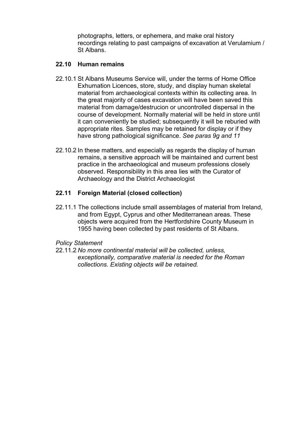photographs, letters, or ephemera, and make oral history recordings relating to past campaigns of excavation at Verulamium / St Albans.

#### 22.10 Human remains

- 22.10.1 St Albans Museums Service will, under the terms of Home Office Exhumation Licences, store, study, and display human skeletal material from archaeological contexts within its collecting area. In the great majority of cases excavation will have been saved this material from damage/destrucion or uncontrolled dispersal in the course of development. Normally material will be held in store until it can conveniently be studied; subsequently it will be reburied with appropriate rites. Samples may be retained for display or if they have strong pathological significance. See paras 9g and 11
- 22.10.2 In these matters, and especially as regards the display of human remains, a sensitive approach will be maintained and current best practice in the archaeological and museum professions closely observed. Responsibility in this area lies with the Curator of Archaeology and the District Archaeologist

### 22.11 Foreign Material (closed collection)

22.11.1 The collections include small assemblages of material from Ireland, and from Egypt, Cyprus and other Mediterranean areas. These objects were acquired from the Hertfordshire County Museum in 1955 having been collected by past residents of St Albans.

#### Policy Statement

22.11.2 No more continental material will be collected, unless, exceptionally, comparative material is needed for the Roman collections. Existing objects will be retained.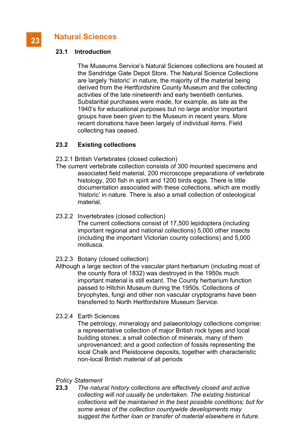## Natural Sciences

#### 23.1 Introduction

 The Museums Service's Natural Sciences collections are housed at the Sandridge Gate Depot Store. The Natural Science Collections are largely 'historic' in nature, the majority of the material being derived from the Hertfordshire County Museum and the collecting activities of the late nineteenth and early twentieth centuries. Substantial purchases were made, for example, as late as the 1940's for educational purposes but no large and/or important groups have been given to the Museum in recent years. More recent donations have been largely of individual items. Field collecting has ceased.

#### 23.2 Existing collections

23.2.1 British Vertebrates (closed collection)

- The current vertebrate collection consists of 300 mounted specimens and associated field material, 200 microscope preparations of vertebrate histology, 200 fish in spirit and 1200 birds eggs. There is little documentation associated with these collections, which are mostly 'historic' in nature. There is also a small collection of osteological material.
- 23.2.2 Invertebrates (closed collection)

 The current collections consist of 17,500 lepidoptera (including important regional and national collections) 5,000 other insects (including the important Victorian county collections) and 5,000 mollusca.

- 23.2.3 Botany (closed collection)
- Although a large section of the vascular plant herbarium (including most of the county flora of 1832) was destroyed in the 1950s much important material is still extant. The County herbarium function passed to Hitchin Museum during the 1950s. Collections of bryophytes, fungi and other non vascular cryptograms have been transferred to North Hertfordshire Museum Service.
- 23.2.4 Earth Sciences

 The petrology, mineralogy and palaeontology collections comprise: a representative collection of major British rock types and local building stones; a small collection of minerals, many of them unprovenanced; and a good collection of fossils representing the local Chalk and Pleistocene deposits, together with characteristic non-local British material of all periods

#### Policy Statement

23.3 The natural history collections are effectively closed and active collecting will not usually be undertaken. The existing historical collections will be maintained in the best possible conditions; but for some areas of the collection countywide developments may suggest the further loan or transfer of material elsewhere in future.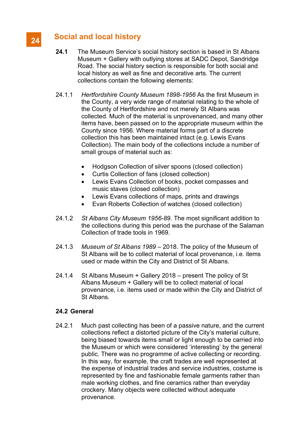## Social and local history

- 24.1 The Museum Service's social history section is based in St Albans Museum + Gallery with outlying stores at SADC Depot, Sandridge Road. The social history section is responsible for both social and local history as well as fine and decorative arts. The current collections contain the following elements:
- 24.1.1 Hertfordshire County Museum 1898-1956 As the first Museum in the County, a very wide range of material relating to the whole of the County of Hertfordshire and not merely St Albans was collected. Much of the material is unprovenanced, and many other items have, been passed on to the appropriate museum within the County since 1956. Where material forms part of a discrete collection this has been maintained intact (e.g. Lewis Evans Collection). The main body of the collections include a number of small groups of material such as:
	- Hodgson Collection of silver spoons (closed collection)
	- Curtis Collection of fans (closed collection)
	- Lewis Evans Collection of books, pocket compasses and music staves (closed collection)
	- Lewis Evans collections of maps, prints and drawings
	- Evan Roberts Collection of watches (closed collection)
- 24.1.2 St Albans City Museum 1956-89. The most significant addition to the collections during this period was the purchase of the Salaman Collection of trade tools in 1969.
- 24.1.3 Museum of St Albans 1989 2018. The policy of the Museum of St Albans will be to collect material of local provenance, i.e. items used or made within the City and District of St Albans.
- 24.1.4 St Albans Museum + Gallery 2018 present The policy of St Albans Museum + Gallery will be to collect material of local provenance, i.e. items used or made within the City and District of St Albans.

#### 24.2 General

24.2.1 Much past collecting has been of a passive nature, and the current collections reflect a distorted picture of the City's material culture, being biased towards items small or light enough to be carried into the Museum or which were considered 'interesting' by the general public. There was no programme of active collecting or recording. In this way, for example, the craft trades are well represented at the expense of industrial trades and service industries, costume is represented by fine and fashionable female garments rather than male working clothes, and fine ceramics rather than everyday crockery. Many objects were collected without adequate provenance.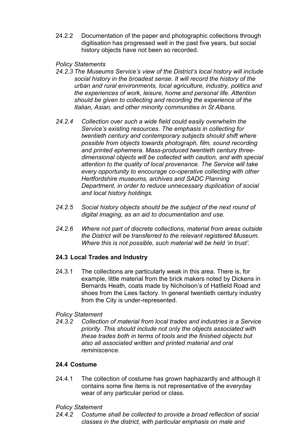24.2.2 Documentation of the paper and photographic collections through digitisation has progressed well in the past five years, but social history objects have not been so recorded.

Policy Statements

- 24.2.3 The Museums Service's view of the District's local history will include social history in the broadest sense. It will record the history of the urban and rural environments, local agriculture, industry, politics and the experiences of work, leisure, home and personal life. Attention should be given to collecting and recording the experience of the Italian, Asian, and other minority communities in St Albans.
- 24.2.4 Collection over such a wide field could easily overwhelm the Service's existing resources. The emphasis in collecting for twentieth century and contemporary subjects should shift where possible from objects towards photograph, film, sound recording and printed ephemera. Mass-produced twentieth century threedimensional objects will be collected with caution, and with special attention to the quality of local provenance. The Service will take every opportunity to encourage co-operative collecting with other Hertfordshire museums, archives and SADC Planning Department, in order to reduce unnecessary duplication of social and local history holdings.
- 24.2.5 Social history objects should be the subject of the next round of digital imaging, as an aid to documentation and use.
- 24.2.6 Where not part of discrete collections, material from areas outside the District will be transferred to the relevant registered Museum. Where this is not possible, such material will be held 'in trust'.

### 24.3 Local Trades and Industry

24.3.1 The collections are particularly weak in this area. There is, for example, little material from the brick makers noted by Dickens in Bernards Heath, coats made by Nicholson's of Hatfield Road and shoes from the Lees factory. In general twentieth century industry from the City is under-represented.

### Policy Statement

24.3.2 Collection of material from local trades and industries is a Service priority. This should include not only the objects associated with these trades both in terms of tools and the finished objects but also all associated written and printed material and oral reminiscence.

### 24.4 Costume

24.4.1 The collection of costume has grown haphazardly and although it contains some fine items is not representative of the everyday wear of any particular period or class.

### Policy Statement

24.4.2 Costume shall be collected to provide a broad reflection of social classes in the district, with particular emphasis on male and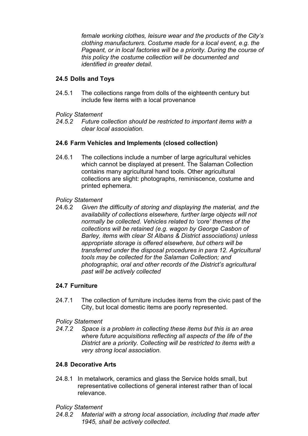female working clothes, leisure wear and the products of the City's clothing manufacturers. Costume made for a local event, e.g. the Pageant, or in local factories will be a priority. During the course of this policy the costume collection will be documented and identified in greater detail.

### 24.5 Dolls and Toys

24.5.1 The collections range from dolls of the eighteenth century but include few items with a local provenance

### Policy Statement

24.5.2 Future collection should be restricted to important items with a clear local association.

### 24.6 Farm Vehicles and Implements (closed collection)

24.6.1 The collections include a number of large agricultural vehicles which cannot be displayed at present. The Salaman Collection contains many agricultural hand tools. Other agricultural collections are slight: photographs, reminiscence, costume and printed ephemera.

### Policy Statement

24.6.2 Given the difficulty of storing and displaying the material, and the availability of collections elsewhere, further large objects will not normally be collected. Vehicles related to 'core' themes of the collections will be retained (e.g. wagon by George Casbon of Barley, items with clear St Albans & District associations) unless appropriate storage is offered elsewhere, but others will be transferred under the disposal procedures in para 12. Agricultural tools may be collected for the Salaman Collection; and photographic, oral and other records of the District's agricultural past will be actively collected

### 24.7 Furniture

24.7.1 The collection of furniture includes items from the civic past of the City, but local domestic items are poorly represented.

### Policy Statement

24.7.2 Space is a problem in collecting these items but this is an area where future acquisitions reflecting all aspects of the life of the District are a priority. Collecting will be restricted to items with a very strong local association.

### 24.8 Decorative Arts

24.8.1 In metalwork, ceramics and glass the Service holds small, but representative collections of general interest rather than of local relevance.

Policy Statement

24.8.2 Material with a strong local association, including that made after 1945, shall be actively collected.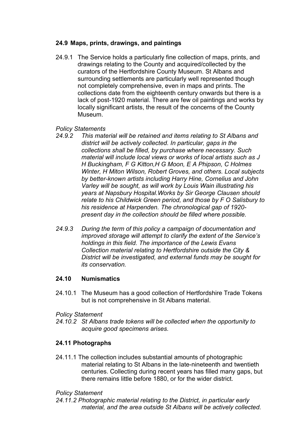### 24.9 Maps, prints, drawings, and paintings

24.9.1 The Service holds a particularly fine collection of maps, prints, and drawings relating to the County and acquired/collected by the curators of the Hertfordshire County Museum. St Albans and surrounding settlements are particularly well represented though not completely comprehensive, even in maps and prints. The collections date from the eighteenth century onwards but there is a lack of post-1920 material. There are few oil paintings and works by locally significant artists, the result of the concerns of the County Museum.

### Policy Statements

- 24.9.2 This material will be retained and items relating to St Albans and district will be actively collected. In particular, gaps in the collections shall be filled, by purchase where necessary. Such material will include local views or works of local artists such as J H Buckingham, F G Kitton,H G Moon, E A Phipson, C Holmes Winter, H Miton Wilson, Robert Groves, and others. Local subjects by better-known artists including Harry Hine, Cornelius and John Varley will be sought, as will work by Louis Wain illustrating his years at Napsbury Hospital.Works by Sir George Clausen should relate to his Childwick Green period, and those by F O Salisbury to his residence at Harpenden. The chronological gap of 1920 present day in the collection should be filled where possible.
- 24.9.3 During the term of this policy a campaign of documentation and improved storage will attempt to clarify the extent of the Service's holdings in this field. The importance of the Lewis Evans Collection material relating to Hertfordshire outside the City & District will be investigated, and external funds may be sought for its conservation.

### 24.10 Numismatics

24.10.1 The Museum has a good collection of Hertfordshire Trade Tokens but is not comprehensive in St Albans material.

### Policy Statement

24.10.2 St Albans trade tokens will be collected when the opportunity to acquire good specimens arises.

### 24.11 Photographs

24.11.1 The collection includes substantial amounts of photographic material relating to St Albans in the late-nineteenth and twentieth centuries. Collecting during recent years has filled many gaps, but there remains little before 1880, or for the wider district.

### Policy Statement

24.11.2 Photographic material relating to the District, in particular early material, and the area outside St Albans will be actively collected.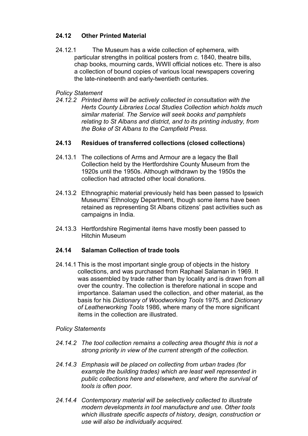### 24.12 Other Printed Material

24.12.1 The Museum has a wide collection of ephemera, with particular strengths in political posters from c. 1840, theatre bills, chap books, mourning cards, WWII official notices etc. There is also a collection of bound copies of various local newspapers covering the late-nineteenth and early-twentieth centuries.

#### Policy Statement

24.12.2 Printed items will be actively collected in consultation with the Herts County Libraries Local Studies Collection which holds much similar material. The Service will seek books and pamphlets relating to St Albans and district, and to its printing industry, from the Boke of St Albans to the Campfield Press.

#### 24.13 Residues of transferred collections (closed collections)

- 24.13.1 The collections of Arms and Armour are a legacy the Ball Collection held by the Hertfordshire County Museum from the 1920s until the 1950s. Although withdrawn by the 1950s the collection had attracted other local donations.
- 24.13.2 Ethnographic material previously held has been passed to Ipswich Museums' Ethnology Department, though some items have been retained as representing St Albans citizens' past activities such as campaigns in India.
- 24.13.3 Hertfordshire Regimental items have mostly been passed to Hitchin Museum

### 24.14 Salaman Collection of trade tools

24.14.1 This is the most important single group of objects in the history collections, and was purchased from Raphael Salaman in 1969. It was assembled by trade rather than by locality and is drawn from all over the country. The collection is therefore national in scope and importance. Salaman used the collection, and other material, as the basis for his Dictionary of Woodworking Tools 1975, and Dictionary of Leatherworking Tools 1986, where many of the more significant items in the collection are illustrated.

#### Policy Statements

- 24.14.2 The tool collection remains a collecting area thought this is not a strong priority in view of the current strength of the collection.
- 24.14.3 Emphasis will be placed on collecting from urban trades (for example the building trades) which are least well represented in public collections here and elsewhere, and where the survival of tools is often poor.
- 24.14.4 Contemporary material will be selectively collected to illustrate modern developments in tool manufacture and use. Other tools which illustrate specific aspects of history, design, construction or use will also be individually acquired.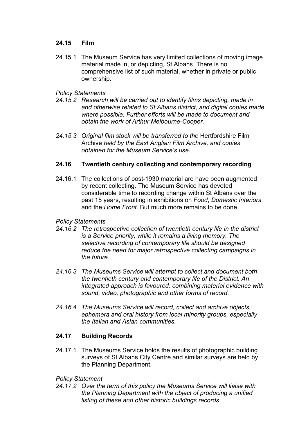#### 24.15 Film

24.15.1 The Museum Service has very limited collections of moving image material made in, or depicting, St Albans. There is no comprehensive list of such material, whether in private or public ownership.

#### Policy Statements

- 24.15.2 Research will be carried out to identify films depicting, made in and otherwise related to St Albans district, and digital copies made where possible. Further efforts will be made to document and obtain the work of Arthur Melbourne-Cooper.
- 24.15.3 Original film stock will be transferred to the Hertfordshire Film Archive held by the East Anglian Film Archive, and copies obtained for the Museum Service's use.

#### 24.16 Twentieth century collecting and contemporary recording

24.16.1 The collections of post-1930 material are have been augmented by recent collecting. The Museum Service has devoted considerable time to recording change within St Albans over the past 15 years, resulting in exhibitions on Food, Domestic Interiors and the Home Front. But much more remains to be done.

#### Policy Statements

- 24.16.2 The retrospective collection of twentieth century life in the district is a Service priority, while it remains a living memory. The selective recording of contemporary life should be designed reduce the need for major retrospective collecting campaigns in the future.
- 24.16.3 The Museums Service will attempt to collect and document both the twentieth century and contemporary life of the District. An integrated approach is favoured, combining material evidence with sound, video, photographic and other forms of record.
- 24.16.4 The Museums Service will record, collect and archive objects, ephemera and oral history from local minority groups, especially the Italian and Asian communities.

### 24.17 Building Records

24.17.1 The Museums Service holds the results of photographic building surveys of St Albans City Centre and similar surveys are held by the Planning Department.

### Policy Statement

24.17.2 Over the term of this policy the Museums Service will liaise with the Planning Department with the object of producing a unified listing of these and other historic buildings records.